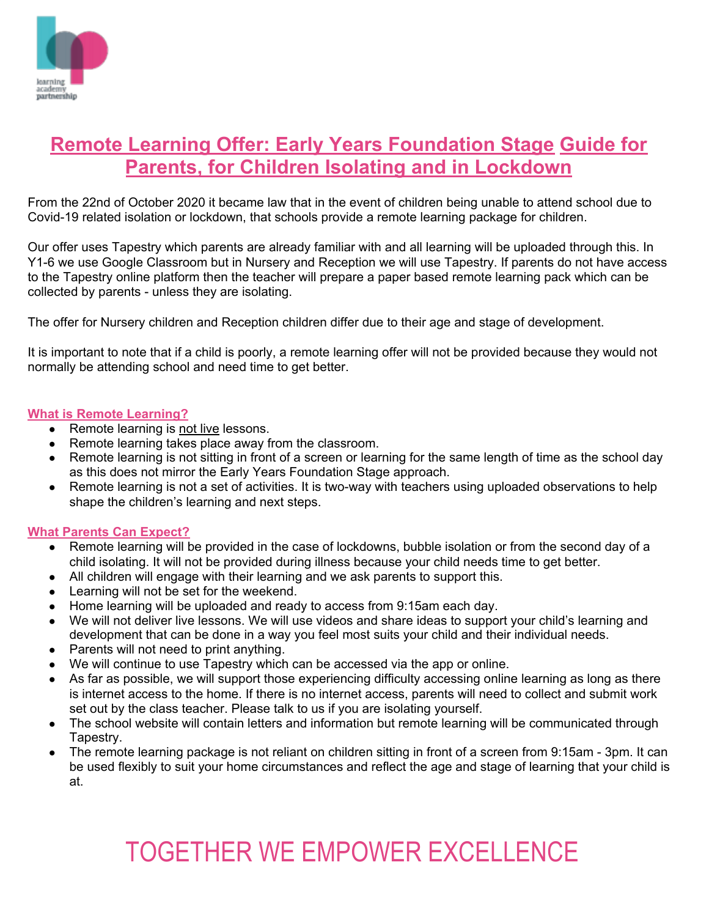

### **Remote Learning Offer: Early Years Foundation Stage Guide for Parents, for Children Isolating and in Lockdown**

From the 22nd of October 2020 it became law that in the event of children being unable to attend school due to Covid-19 related isolation or lockdown, that schools provide a remote learning package for children.

Our offer uses Tapestry which parents are already familiar with and all learning will be uploaded through this. In Y1-6 we use Google Classroom but in Nursery and Reception we will use Tapestry. If parents do not have access to the Tapestry online platform then the teacher will prepare a paper based remote learning pack which can be collected by parents - unless they are isolating.

The offer for Nursery children and Reception children differ due to their age and stage of development.

It is important to note that if a child is poorly, a remote learning offer will not be provided because they would not normally be attending school and need time to get better.

#### **What is Remote Learning?**

- Remote learning is not live lessons.
- Remote learning takes place away from the classroom.
- Remote learning is not sitting in front of a screen or learning for the same length of time as the school day as this does not mirror the Early Years Foundation Stage approach.
- Remote learning is not a set of activities. It is two-way with teachers using uploaded observations to help shape the children's learning and next steps.

#### **What Parents Can Expect?**

- Remote learning will be provided in the case of lockdowns, bubble isolation or from the second day of a child isolating. It will not be provided during illness because your child needs time to get better.
- All children will engage with their learning and we ask parents to support this.
- Learning will not be set for the weekend.
- Home learning will be uploaded and ready to access from 9:15am each day.
- We will not deliver live lessons. We will use videos and share ideas to support your child's learning and development that can be done in a way you feel most suits your child and their individual needs.
- Parents will not need to print anything.
- We will continue to use Tapestry which can be accessed via the app or online.
- As far as possible, we will support those experiencing difficulty accessing online learning as long as there is internet access to the home. If there is no internet access, parents will need to collect and submit work set out by the class teacher. Please talk to us if you are isolating yourself.
- The school website will contain letters and information but remote learning will be communicated through Tapestry.
- The remote learning package is not reliant on children sitting in front of a screen from 9:15am 3pm. It can be used flexibly to suit your home circumstances and reflect the age and stage of learning that your child is at.

# TOGETHER WE EMPOWER EXCELLENCE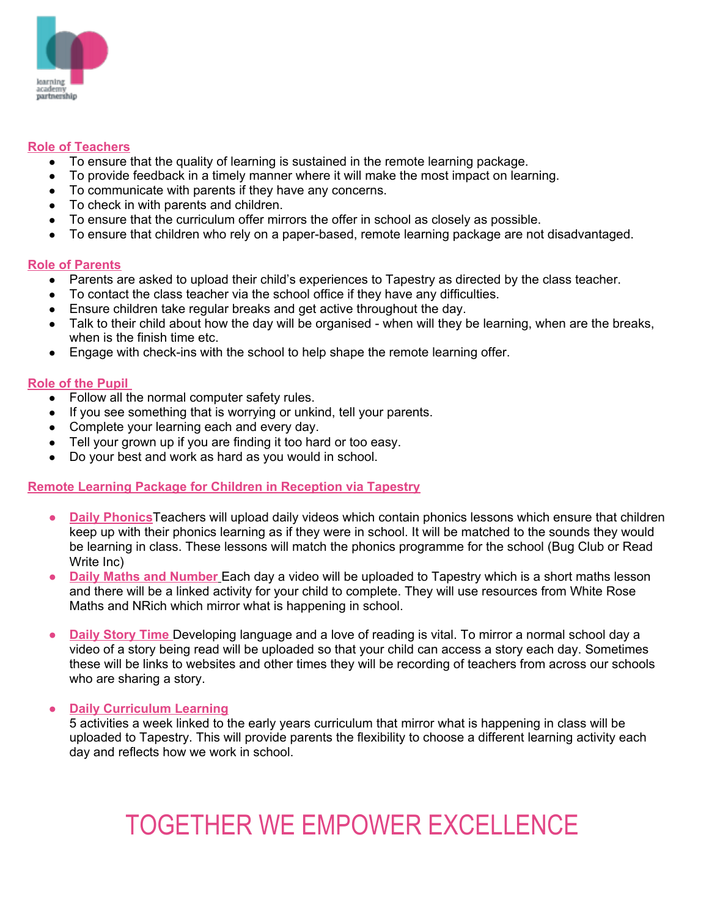

#### **Role of Teachers**

- To ensure that the quality of learning is sustained in the remote learning package.
- To provide feedback in a timely manner where it will make the most impact on learning.
- To communicate with parents if they have any concerns.
- To check in with parents and children.
- To ensure that the curriculum offer mirrors the offer in school as closely as possible.
- To ensure that children who rely on a paper-based, remote learning package are not disadvantaged.

#### **Role of Parents**

- Parents are asked to upload their child's experiences to Tapestry as directed by the class teacher.
- To contact the class teacher via the school office if they have any difficulties.
- Ensure children take regular breaks and get active throughout the day.
- Talk to their child about how the day will be organised when will they be learning, when are the breaks, when is the finish time etc.
- Engage with check-ins with the school to help shape the remote learning offer.

#### **Role of the Pupil**

- Follow all the normal computer safety rules.
- If you see something that is worrying or unkind, tell your parents.
- Complete your learning each and every day.
- Tell your grown up if you are finding it too hard or too easy.
- Do your best and work as hard as you would in school.

#### **Remote Learning Package for Children in Reception via Tapestry**

- **● Daily Phonics**Teachers will upload daily videos which contain phonics lessons which ensure that children keep up with their phonics learning as if they were in school. It will be matched to the sounds they would be learning in class. These lessons will match the phonics programme for the school (Bug Club or Read Write Inc)
- **● Daily Maths and Number** Each day a video will be uploaded to Tapestry which is a short maths lesson and there will be a linked activity for your child to complete. They will use resources from White Rose Maths and NRich which mirror what is happening in school.
- **Daily Story Time** Developing language and a love of reading is vital. To mirror a normal school day a video of a story being read will be uploaded so that your child can access a story each day. Sometimes these will be links to websites and other times they will be recording of teachers from across our schools who are sharing a story.

#### **● Daily Curriculum Learning**

5 activities a week linked to the early years curriculum that mirror what is happening in class will be uploaded to Tapestry. This will provide parents the flexibility to choose a different learning activity each day and reflects how we work in school.

## TOGETHER WE EMPOWER EXCELLENCE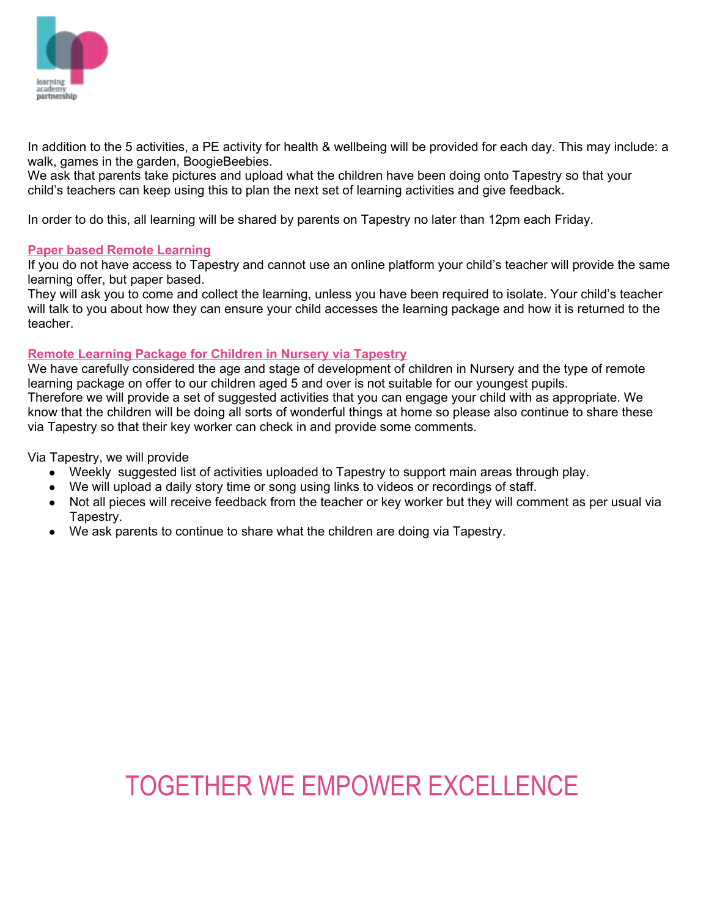

In addition to the 5 activities, a PE activity for health & wellbeing will be provided for each day. This may include: a walk, games in the garden, BoogieBeebies.

We ask that parents take pictures and upload what the children have been doing onto Tapestry so that your child's teachers can keep using this to plan the next set of learning activities and give feedback.

In order to do this, all learning will be shared by parents on Tapestry no later than 12pm each Friday.

#### **Paper based Remote Learning**

If you do not have access to Tapestry and cannot use an online platform your child's teacher will provide the same learning offer, but paper based.

They will ask you to come and collect the learning, unless you have been required to isolate. Your child's teacher will talk to you about how they can ensure your child accesses the learning package and how it is returned to the teacher.

#### **Remote Learning Package for Children in Nursery via Tapestry**

We have carefully considered the age and stage of development of children in Nursery and the type of remote learning package on offer to our children aged 5 and over is not suitable for our youngest pupils. Therefore we will provide a set of suggested activities that you can engage your child with as appropriate. We know that the children will be doing all sorts of wonderful things at home so please also continue to share these via Tapestry so that their key worker can check in and provide some comments.

Via Tapestry, we will provide

- Weekly suggested list of activities uploaded to Tapestry to support main areas through play.
- We will upload a daily story time or song using links to videos or recordings of staff.
- Not all pieces will receive feedback from the teacher or key worker but they will comment as per usual via Tapestry.
- We ask parents to continue to share what the children are doing via Tapestry.

### TOGETHER WE EMPOWER EXCELLENCE